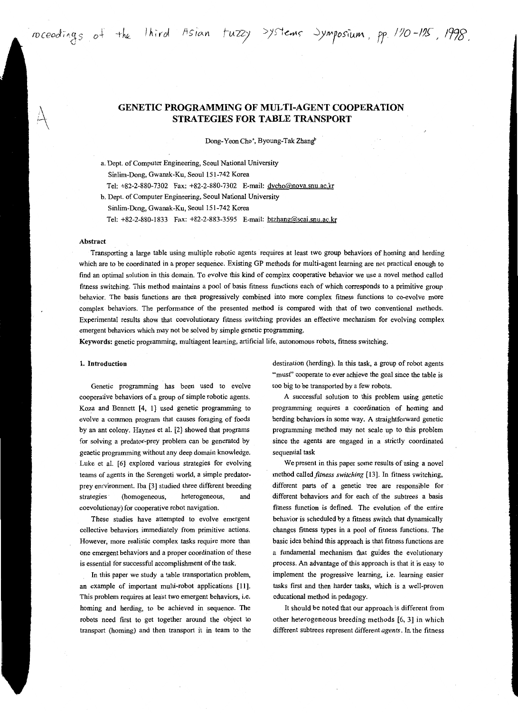roceedings of the litired Asian tuzzy >ystems Jymposium, pp. 170-125, 1998.

Dong-Yeon Cho<sup>2</sup>, Byoung-Tak Zhang<sup>b</sup>

a. Dept. of Computer Engineering, Seoul National University Sinlim-Dong, Gwanak-Ku, Seoul 151-742 Korea

Tel: +82-2-880-7302 Fax: +82-2-880-7302 E-mail: dvcho@nova.snu.ac.kr

b. Dept. of Computer Engineering, Seoul National University

Sinlim-Dong, Gwanak-Ku, Seoul 151-742 Korea

Tel: +82-2-880-1833 Fax: +82-2-883-3595 E-mail: btzhang@scai.snu.ac.kr

### Abstract

Transporting a large table using multiple robotic agents requires at least two group behaviors of homing and herding which are to be coordinated in a proper sequence. Existing GP methods for multi-agent learning are not practical enough to find an optimal solution in this domain. To evolve this kind of complex cooperative behavior we use a novel method called fitness switching. This method maintains a pool of basis fitness functions each of which corresponds to a primitive group behavior. The basis functions are then progressively combined into more complex fitness functions to co-evolve more complex behaviors. The performance of the presented method is compared with that of two conventional methods. Experimental results show that coevolutionary fitness switching provides an effective mechanism for evolving complex emergent behaviors which may not be solved by simple genetic programming.

Keywords: genetic programming, multiagent learning, artificial life, autonomous robots, fitness switching.

#### 1. Introduction

Genetic programming has been used to evolve cooperative behaviors of a group of simple robotic agents. Koza and Bennett [4, l] used genetic programming to evolve a common program that causes foraging of foods by an ant colony. Haynes et a!. [2] showed that programs for solving a predator-prey problem can be generated by genetic programming without any deep domain knowledge. Luke et al. [6] explored various strategies for evolving teams of agents in the Serengeti world, a simple predatorprey enrvironment. Iba [3] studied three different breeding strategies (homogeneous, heterogeneous, and coevolutionay) for cooperative robot navigation.

These studies have attempted to evolve emergent collective behaviors immediately from primitive actions. However, more realistic complex tasks require more than one emergent behaviors and a proper coordination of these is essential for successful accomplishment of the task.

In this paper we study a table transportation problem, an example of important multi-robot applications [11]. This problem requires at least two emergent behaviors, i.e. homing and herding, to be achieved in sequence. The robots need first to get together around the object to transport (homing) and then transport it in team to the destination (herding). In this task, a group of robot agents "must" cooperate to ever achieve the goal since the table is too big to be transported by a few robots.

A successful solution to this problem using genetic programming requires a coordination of homing and herding behaviors in some way. A straightforward genetic programming method may not scale up to this problem since the agents are engaged in a strictly coordinated sequential task

We present in this paper some results of using a novel method called *fitness switching* [13]. In fitness switching, different parts of a genetic tree are responsible for different behaviors and for each of the subtrees a basis fitness function is defined. The evolution of the entire behavior is scheduled by a fitness switch that dynamically changes fitness types in a pool of fitness functions. The basic idea behind this approach is that fitness functions are a fundamental mechanism that guides the evolutionary process. An advantage of this approach is that it is easy to implement the progressive learning, i.e. learning easier tasks first and then harder tasks, which is a well-proven educational method in pedagogy.

It should be noted that our approach is different from other heterogeneous breeding methods [6, 3] in which different subtrees represent different *agents.* In the fitness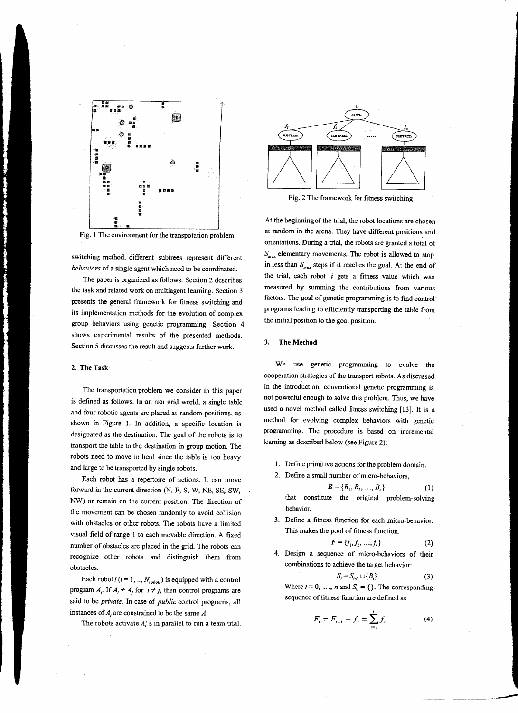

Fig. I The environment for the transpotation problem

switching method, different subtrees represent different *behaviors* of a single agent which need to be coordinated.

The paper is organized as follows. Section 2 describes the task and related work on multiagent learning. Section 3 presents the general framework for fitness switching and its implementation methods for the evolution of complex group behaviors using genetic programming. Section 4 shows experimental results of the presented methods. Section 5 discusses the result and suggests further work.

### **2. The Task**

The transportation problem we consider in this paper is defined as follows. In an nxn grid world, a single table and four robotic agents are placed at random positions, as shown in Figure I. In addition, a specific location is designated as the destination. The goal of the robots is to transport the table to the destination in group motion. The robots need to move in herd since the table is too heavy and large to be transported by single robots.

Each robot has a repertoire of actions. It can move forward in the current direction (N, E, S, W, NE, SE, SW, NW) or remain on the current position. The direction of the movement can be chosen randomly to avoid collision with obstacles or other robots. The robots have a limited visual field of range I to each movable direction. A fixed number of obstacles are placed in the grid. The robots can recognize other robots and distinguish them from obstacles.

Each robot  $i$  ( $i = 1, ..., N_{robots}$ ) is equipped with a control program  $A_i$ . If  $A_i \neq A_j$  for  $i \neq j$ , then control programs are said to be *private.* In case of *public* control programs, all instances of *A,* are constrained to be the same *A.* 

The robots activate *A;* s in parallel to run a team trial.



Fig. 2 The framework for fitness switching

At the beginning of the trial, the robot locations are chosen at random in the arena. They have different positions and orientations. During a trial, the robots are granted a total of *smax* elementary movements. The robot is allowed to stop in less than  $S_{max}$  steps if it reaches the goal. At the end of the trial, each robot  $i$  gets a fitness value which was measured by summing the contributions from various factors. The goal of genetic programming is to find control· programs leading to efficiently transporting the table from the initial position to the goal position.

## **3. The Method**

We use genetic programming to evolve the cooperation strategies of the transport robots. As discussed in the introduction, conventional genetic programming is not powerful enough to solve this problem. Thus, we have used a novel method called finess switching [13]. It is a method for evolving complex behaviors with genetic programming. The procedure is based on incremental learning as described below (see Figure 2):

I. Define primitive actions for the problem domain.

2. Define a small number of micro-behaviors,

$$
B = \{B_1, B_2, ..., B_n\}
$$
 (1)  
that constitute the original problem-solving  
behavior.

3. Define a fitness function for each micro-behavior. This makes the pool of fitness function.

$$
F = \{f_1, f_2, \ldots, f_n\} \tag{2}
$$

4. Design a sequence of micro-behaviors of their combinations to achieve the target behavior:

$$
S_t = S_{t} \cup \{B_t\} \tag{3}
$$

Where  $t = 0, ..., n$  and  $S_0 = \{\}$ . The corresponding sequence of fitness function are defined as

$$
F_t = F_{t-1} + f_t = \sum_{i=1}^t f_i
$$
 (4)

--------~--- \_ \_\_\_\_.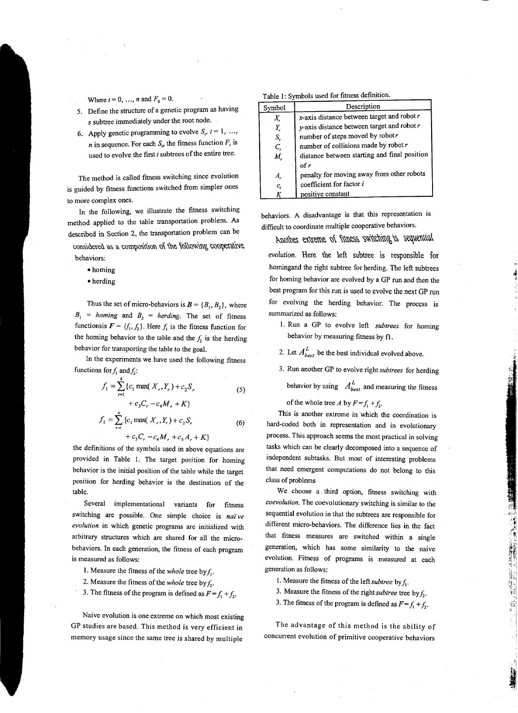Where  $t = 0, ..., n$  and  $F_0 = 0$ .

- 5. Define the structure of a genetic program as having *s* subtree immediately under the root node.
- 6. Apply genetic programming to evolve  $S_t$ ,  $t = 1, \ldots$ , *n* in sequence. For each  $S_t$ , the fitness function  $F_t$ , is used to evolve the first *t* subtrees of the entire tree.
	-

The method is called fitness switching since evolution is guided by fitness functions switched from simpler ones to more complex ones.

In the following, we illustrate the fitness switching method applied to the table transportation problem. As described in Section 2, the transportation problem can be

considered as a composition of the following cooperative behaviors:

- •homing
- herding

Thus the set of micro-behaviors is  $\mathbf{B} = \{B_1, B_2\}$ , where  $B_1$  = *homing* and  $B_2$  = *herding*. The set of fitness functionsis  $F = \{f_1, f_2\}$ . Here  $f_1$  is the fitness function for the homing behavior to the table and the  $f_2$  is the herding behavior for transporting the table to the goal.

In the experiments we have used the following fitness functions for  $f_1$  and  $f_2$ :

$$
f_1 = \sum_{r=1}^{4} \{c_1 \max(X_r, Y_r) + c_2 S_r
$$
  
+  $c_3 C_r - c_4 M_r + K\}$   

$$
f_2 = \sum_{r=1}^{4} \{c_1 \max(X_r, Y_r) + c_2 S_r
$$
  
+  $c_3 C_r - c_4 M_r + c_5 A_r + K\}$  (6)

the definitions of the symbols used in above equations are provided in Table 1. The target position for homing behavior is the initial position of the table while the target position for herding behavior is the destination of the table.

Several implementational variants for fitness switching are possible. One simple choice is *naïve evolution* in which genetic programs are initialized with arbitrary structures which are shared for all the microbehaviors. In each generation, the fitness of each program is measured as follows:

- 1. Measure the fitness of the *whole* tree by f..
- 2. Measure the fitness of the *whole* tree by  $f_2$ .
- 3. The fitness of the program is defined as  $F = f_1 + f_2$ .

Naive evolution is one extreme on which most existing GP studies are based. This method is very efficient in memory usage since the same tree is shared by multiple

|  |  |  | Table 1: Symbols used for fitness definition. |
|--|--|--|-----------------------------------------------|
|  |  |  |                                               |

| Symbol     | Description                                     |  |  |
|------------|-------------------------------------------------|--|--|
| Х,         | $x$ -axis distance between target and robot $r$ |  |  |
| Y.         | y-axis distance between target and robot $r$    |  |  |
| S,         | number of steps moved by robotr                 |  |  |
| C.         | number of collisions made by robot $r$          |  |  |
| М,         | distance between starting and final position    |  |  |
|            | of $r$                                          |  |  |
| Α.         | penalty for moving away from other robots       |  |  |
| $\bm{c}_i$ | coefficient for factor i                        |  |  |
|            | positive constant                               |  |  |

behaviors. A disadvantage is that this representation is difficult to coordinate multiple cooperative behaviors.

Another extreme of fitness switching is sequential

*evolution.* Here the \eft subtree is responsible for homingand the right subtree for herding. The left subtrees for homing behavior are evolved by a GP run and then the best program for this run is used to evolve the next GP run for evolving the herding behavior. The process is summarized as follows:

- 1. Run a GP to evolve left *subtrees* for homing behavior by measuring fitness by fl.
- 2. Let  $A_{best}^L$  be the best individual evolved above.
- 3. Run another GP to evolve right *subtrees* for herding

behavior by using  $A_{best}^L$  and measuring the fitness

of the whole tree *A* by  $F = f_1 + f_2$ .

This is another extreme in which the coordination is hard-coded both in representation and in evolutionary process. This approach seems the most practical in solving tasks which can be clearly decomposed into a sequence of independent subtasks. But most of interesting problems that need emergent computations do not belong to this class of problems

We choose a third option, fitness switching with *coevolution.* The coevolutionary switching is similar to the sequential evolution in that the subtrees are responsible for different micro-behaviors. The difference lies in the fact that fitness measures are switched within a single generation, which has some similarity to the naive evolution. Fitness of programs is measured at each generation as follows:

- 1. Measure the fitness of the *leftsubtree* by f..
- 3. Measure the fitness of the right *subtree* tree by  $f_1$ .
- 3. The fitness of the program is defined as  $F = f_1 + f_2$ .

The advantage of this method is the ability of concurrent evolution of primitive cooperative behaviors

,,

1990年1992年19月1日,1990年1月1日,1990年19月1日,1990年19月1日,1990年19月1日,1990年1月,1990年1月,1990年1月,1990年1月,1990年1月,1

1選集2  $\ddot{}$  . ! .-1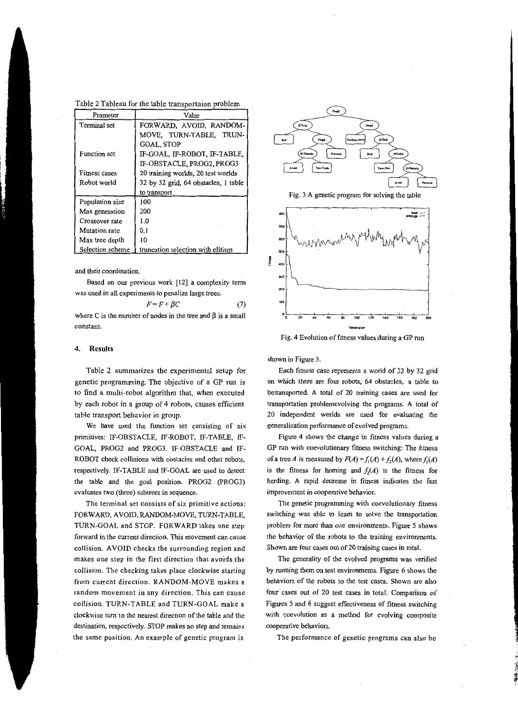Table 2 Tableau for the table transportaion problem

| Prameter         | Value                                |  |  |  |
|------------------|--------------------------------------|--|--|--|
| Terminal set     | FORWARD, AVOID, RANDOM-              |  |  |  |
|                  | MOVE, TURN-TABLE, TRUN-              |  |  |  |
|                  | <b>GOAL, STOP</b>                    |  |  |  |
| Function set     | IF-GOAL, IF-ROBOT, IF-TABLE,         |  |  |  |
|                  | IF-OBSTACLE, PROG2, PROG3            |  |  |  |
| Fitness cases    | 20 training worlds, 20 test worlds   |  |  |  |
| Robot world      | 32 by 32 grid, 64 obstacles, 1 table |  |  |  |
|                  | to transport                         |  |  |  |
| Population size  | 100                                  |  |  |  |
| Max generation   | 200                                  |  |  |  |
| Crossover rate   | 1.0                                  |  |  |  |
| Mutation rate    | 0.1                                  |  |  |  |
| Max tree depth   | 10                                   |  |  |  |
| Selection scheme | truncation selection with elitism    |  |  |  |

and their coordination.

Based on our previous work [12] a complexity term was used in all experiments to penalize large trees:

$$
F = F + \beta C \tag{7}
$$

where C is the number of nodes in the tree and  $\beta$  is a small constant.

# **4. Results**

Table 2 summarizes the experimental setup for genetic programming. The objective of a GP run is to find a multi-robot algorithm that, when executed by each robot in a group of 4 robots, causes efficient table transport behavior in group.

We have used the function set consisting of six primitives: IF-OBSTACLE, IF-ROBOT, IF-TABLE, IF-GOAL, PROG2 and PROG3. IF-OBSTACLE and IF-ROBOT check collisions with obstacles and other robots, respectively. IF-TABLE and IF-GOAL are used to detect the table and the goal position. PROG2 (PROG3) evaluates two (three) subtrees in sequence.

The terminal set consists of six primitive actions: FORWARD, AVOID, RANDOM-MOVE, TURN-TABLE, TURN-GOAL and STOP. FORWARD takes one step forward in the current direction. This movement can cause collision. A VOID checks the surrounding region and makes one step in the first direction that avoids the collision. The checking takes place clockwise starting from current direction. RANDOM-MOVE makes a random movement in any direction. This can cause collision. TURN-TABLE and TURN-GOAL make a clockwise turn to the nearest direction of the table and the destination, respectively. STOP makes no step and remains the same position. An example of genetic program is



Fig. 3 A genetic program for solving the table



Fig. 4 Evolution of fitness values during a GP run

shown in Figure 3.

Each fitness case represents a world of 32 by 32 grid on which there are four robots, 64 obstacles, a table to betransported. A total of 20 training cases are used for transportation problemevolving the programs. A total of 20 independent worlds are used for evaluating the generalization performance of evolved programs.

Figure 4 shows the change in fitness values during a GP run with coevolutionary fitness switching: The fitness of a tree *A* is measured by  $F(A) = f_1(A) + f_2(A)$ , where  $f_1(A)$ is the fitness for homing and  $f_2(A)$  is the fitness for herding. A rapid decrease in fitness indicates the fast improvement in cooperative behavior.

The genetic programming with coevolutionary fitness switching was able to learn to solve the transportation problem for more than one environments. Figure *5* shows the behavior of the robots to the training environments. Shown are four cases out of 20 training cases in total.

The generality of the evolved programs was verified by running them on test environments. Figure 6 shows the behaviors of the robots to the test cases. Shown are also four cases out of 20 test cases in total. Comparison of Figures *5* and 6 suggest effectiveness of fitness switching with coevolution as a method for evolving composite cooperative behaviors.

The performance of genetic programs can also be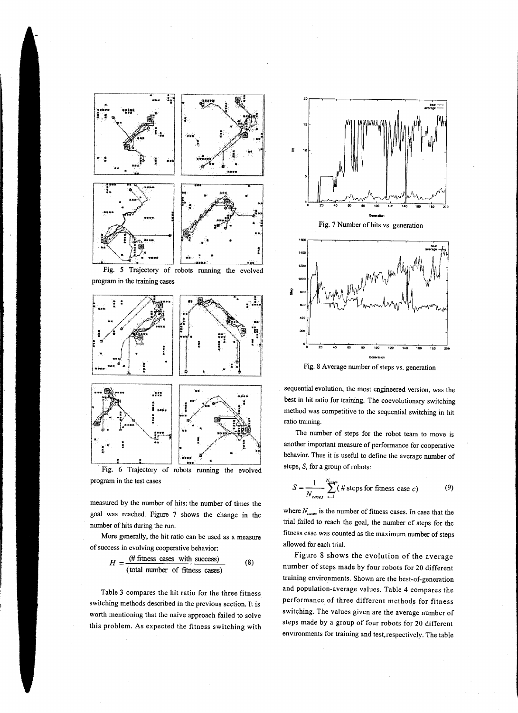

program in the test cases

measured by the number of hits: the number of times the goal was reached. Figure 7 shows the change in the number of hits during the run.

More generally, the hit ratio can be used as a measure of success in evolving cooperative behavior:

$$
H = \frac{\text{(# fitness cases with success)}}{\text{(total number of fitness cases)}}
$$
 (8)

Table 3 compares the hit ratio for the three fitness switching methods described in the previous section. It is worth mentioning that the naive approach failed to solve this problem. As expected the fitness switching with





Fig. 8 Average number of steps vs. generation

sequential evolution, the most engineered version, was the best in hit ratio for training. The coevolutionary switching method was competitive to the sequential switching in hit ratio training.

The number of steps for the robot team to move is another important measure of performance for cooperative behavior. Thus it is useful to define the average number of steps, S, for a group of robots:

$$
S = \frac{1}{N_{cases}} \sum_{c=1}^{N_{energy}} (\# steps \text{ for fitness case } c)
$$
 (9)

where  $N_{cases}$  is the number of fitness cases. In case that the trial failed to reach the goal, the number of steps for the fitness case was counted as the maximum number of steps allowed for each trial.

Figure 8 shows the evolution of the average number of steps made by four robots for 20 different training environments. Shown are the best-of-generation and population-average values. Table 4 compares the performance of three different methods for fitness switching. The values given are the average number of steps made by a group of four robots for 20 different environments for training and test, respectively. The table